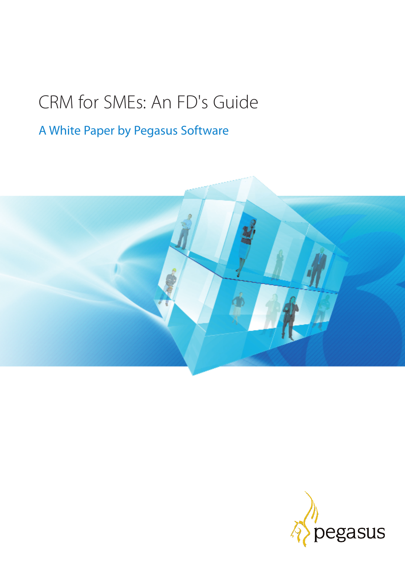# CRM for SMEs: An FD's Guide

## A White Paper by Pegasus Software



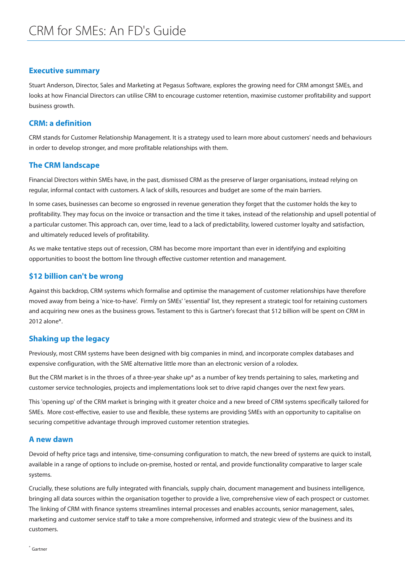#### **Executive summary**

Stuart Anderson, Director, Sales and Marketing at Pegasus Software, explores the growing need for CRM amongst SMEs, and looks at how Financial Directors can utilise CRM to encourage customer retention, maximise customer profitability and support business growth.

#### **CRM: a definition**

CRM stands for Customer Relationship Management. It is a strategy used to learn more about customers' needs and behaviours in order to develop stronger, and more profitable relationships with them.

#### **The CRM landscape**

Financial Directors within SMEs have, in the past, dismissed CRM as the preserve of larger organisations, instead relying on regular, informal contact with customers. A lack of skills, resources and budget are some of the main barriers.

In some cases, businesses can become so engrossed in revenue generation they forget that the customer holds the key to profitability. They may focus on the invoice or transaction and the time it takes, instead of the relationship and upsell potential of a particular customer. This approach can, over time, lead to a lack of predictability, lowered customer loyalty and satisfaction, and ultimately reduced levels of profitability.

As we make tentative steps out of recession, CRM has become more important than ever in identifying and exploiting opportunities to boost the bottom line through effective customer retention and management.

#### **\$12 billion can't be wrong**

Against this backdrop, CRM systems which formalise and optimise the management of customer relationships have therefore moved away from being a 'nice-to-have'. Firmly on SMEs' 'essential' list, they represent a strategic tool for retaining customers and acquiring new ones as the business grows. Testament to this is Gartner's forecast that \$12 billion will be spent on CRM in 2012 alone\*.

#### **Shaking up the legacy**

Previously, most CRM systems have been designed with big companies in mind, and incorporate complex databases and expensive configuration, with the SME alternative little more than an electronic version of a rolodex.

But the CRM market is in the throes of a three-year shake up\* as a number of key trends pertaining to sales, marketing and customer service technologies, projects and implementations look set to drive rapid changes over the next few years.

This 'opening up' of the CRM market is bringing with it greater choice and a new breed of CRM systems specifically tailored for SMEs. More cost-effective, easier to use and flexible, these systems are providing SMEs with an opportunity to capitalise on securing competitive advantage through improved customer retention strategies.

#### **A new dawn**

Devoid of hefty price tags and intensive, time-consuming configuration to match, the new breed of systems are quick to install, available in a range of options to include on-premise, hosted or rental, and provide functionality comparative to larger scale systems.

Crucially, these solutions are fully integrated with financials, supply chain, document management and business intelligence, bringing all data sources within the organisation together to provide a live, comprehensive view of each prospect or customer. The linking of CRM with finance systems streamlines internal processes and enables accounts, senior management, sales, marketing and customer service staff to take a more comprehensive, informed and strategic view of the business and its customers.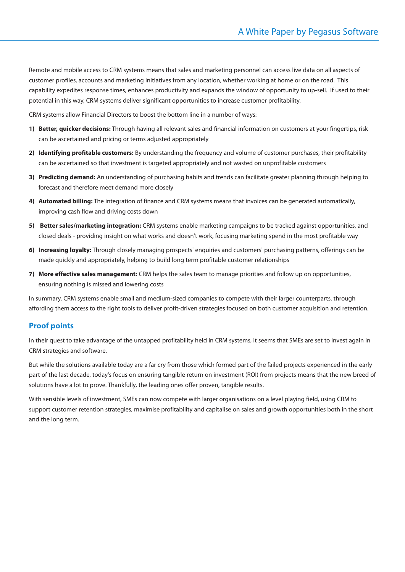Remote and mobile access to CRM systems means that sales and marketing personnel can access live data on all aspects of customer profiles, accounts and marketing initiatives from any location, whether working at home or on the road. This capability expedites response times, enhances productivity and expands the window of opportunity to up-sell. If used to their potential in this way, CRM systems deliver significant opportunities to increase customer profitability.

CRM systems allow Financial Directors to boost the bottom line in a number of ways:

- **1) Better, quicker decisions:** Through having all relevant sales and financial information on customers at your fingertips, risk can be ascertained and pricing or terms adjusted appropriately
- **2) Identifying profitable customers:** By understanding the frequency and volume of customer purchases, their profitability can be ascertained so that investment is targeted appropriately and not wasted on unprofitable customers
- **3) Predicting demand:** An understanding of purchasing habits and trends can facilitate greater planning through helping to forecast and therefore meet demand more closely
- **4) Automated billing:** The integration of finance and CRM systems means that invoices can be generated automatically, improving cash flow and driving costs down
- **5) Better sales/marketing integration:** CRM systems enable marketing campaigns to be tracked against opportunities, and closed deals - providing insight on what works and doesn't work, focusing marketing spend in the most profitable way
- **6) Increasing loyalty:** Through closely managing prospects' enquiries and customers' purchasing patterns, offerings can be made quickly and appropriately, helping to build long term profitable customer relationships
- **7) More effective sales management:** CRM helps the sales team to manage priorities and follow up on opportunities, ensuring nothing is missed and lowering costs

In summary, CRM systems enable small and medium-sized companies to compete with their larger counterparts, through affording them access to the right tools to deliver profit-driven strategies focused on both customer acquisition and retention.

### **Proof points**

In their quest to take advantage of the untapped profitability held in CRM systems, it seems that SMEs are set to invest again in CRM strategies and software.

But while the solutions available today are a far cry from those which formed part of the failed projects experienced in the early part of the last decade, today's focus on ensuring tangible return on investment (ROI) from projects means that the new breed of solutions have a lot to prove. Thankfully, the leading ones offer proven, tangible results.

With sensible levels of investment, SMEs can now compete with larger organisations on a level playing field, using CRM to support customer retention strategies, maximise profitability and capitalise on sales and growth opportunities both in the short and the long term.